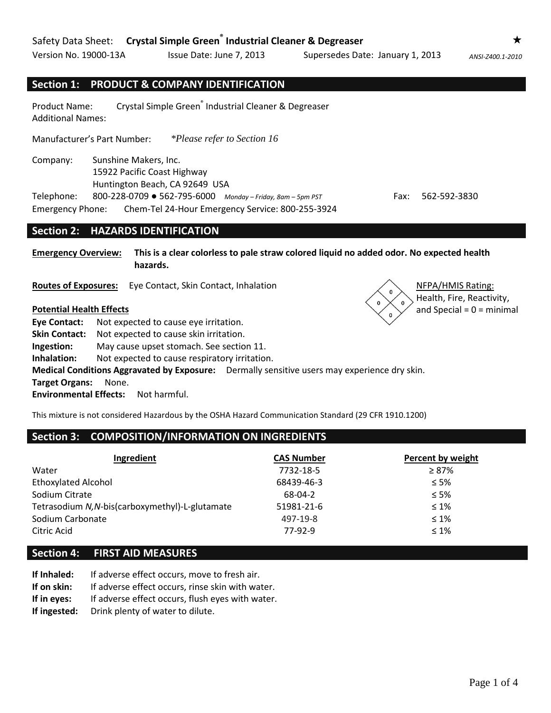Version No. 19000-13A Issue Date: June 7, 2013 Supersedes Date: January 1, 2013 *ANSI-Z400.1-2010*

# **Section 1: PRODUCT & COMPANY IDENTIFICATION**

Product Name: Crystal Simple Green<sup>®</sup> Industrial Cleaner & Degreaser Additional Names:

Manufacturer's Part Number: *\*Please refer to Section 16*

Company: Sunshine Makers, Inc. 15922 Pacific Coast Highway Huntington Beach, CA 92649 USA Telephone: 800-228-0709 ● 562-795-6000 *Monday – Friday, 8am – 5pm PST* Fax: 562-592-3830 Emergency Phone: Chem-Tel 24-Hour Emergency Service: 800-255-3924

#### **Section 2: HAZARDS IDENTIFICATION**

**Emergency Overview: This is a clear colorless to pale straw colored liquid no added odor. No expected health hazards.**

**Routes of Exposures:** Eye Contact, Skin Contact, Inhalation NFPA/HMIS Rating:

**Eye Contact:** Not expected to cause eye irritation. **Skin Contact:** Not expected to cause skin irritation. **Ingestion:** May cause upset stomach. See section 11. **Inhalation:** Not expected to cause respiratory irritation. **Medical Conditions Aggravated by Exposure:** Dermally sensitive users may experience dry skin. **Target Organs:** None. **Environmental Effects:** Not harmful.

This mixture is not considered Hazardous by the OSHA Hazard Communication Standard (29 CFR 1910.1200)

## **Section 3: COMPOSITION/INFORMATION ON INGREDIENTS**

| Ingredient                                      | <b>CAS Number</b> | Percent by weight |
|-------------------------------------------------|-------------------|-------------------|
| Water                                           | 7732-18-5         | $\geq 87\%$       |
| <b>Ethoxylated Alcohol</b>                      | 68439-46-3        | $\leq 5\%$        |
| Sodium Citrate                                  | 68-04-2           | $\leq 5\%$        |
| Tetrasodium N, N-bis(carboxymethyl)-L-glutamate | 51981-21-6        | $\leq 1\%$        |
| Sodium Carbonate                                | 497-19-8          | $\leq 1\%$        |
| Citric Acid                                     | 77-92-9           | $\leq 1\%$        |

#### **Section 4: FIRST AID MEASURES**

- **If Inhaled:** If adverse effect occurs, move to fresh air.
- **If on skin:** If adverse effect occurs, rinse skin with water.
- **If in eyes:** If adverse effect occurs, flush eyes with water.
- **If ingested:** Drink plenty of water to dilute.



Health, Fire, Reactivity, **Potential Health Effects and Special = 0** = minimal

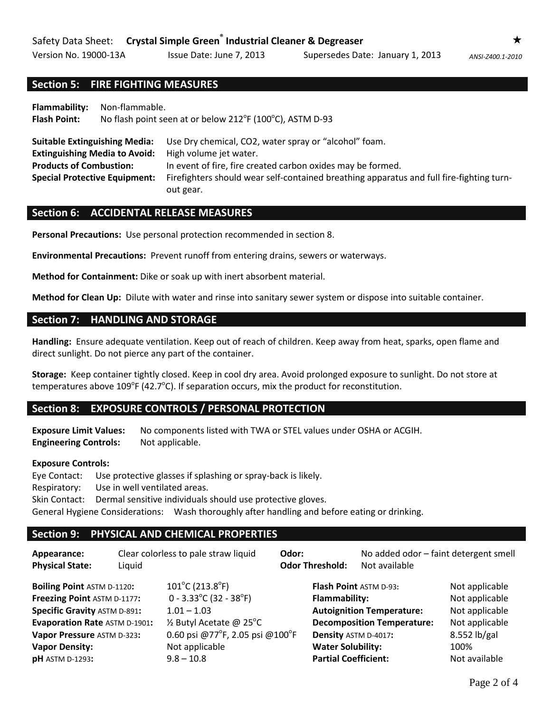# **Section 5: FIRE FIGHTING MEASURES**

**Flammability:** Non-flammable. Flash Point: No flash point seen at or below 212<sup>°</sup>F (100<sup>°</sup>C), ASTM D-93

**Suitable Extinguishing Media:** Use Dry chemical, CO2, water spray or "alcohol" foam. **Extinguishing Media to Avoid:** High volume jet water. **Products of Combustion:** In event of fire, fire created carbon oxides may be formed. **Special Protective Equipment:** Firefighters should wear self-contained breathing apparatus and full fire-fighting turnout gear.

#### **Section 6: ACCIDENTAL RELEASE MEASURES**

**Personal Precautions:** Use personal protection recommended in section 8.

**Environmental Precautions:** Prevent runoff from entering drains, sewers or waterways.

**Method for Containment:** Dike or soak up with inert absorbent material.

**Method for Clean Up:** Dilute with water and rinse into sanitary sewer system or dispose into suitable container.

#### **Section 7: HANDLING AND STORAGE**

**Handling:** Ensure adequate ventilation. Keep out of reach of children. Keep away from heat, sparks, open flame and direct sunlight. Do not pierce any part of the container.

**Storage:** Keep container tightly closed. Keep in cool dry area. Avoid prolonged exposure to sunlight. Do not store at temperatures above  $109^{\circ}$ F (42.7 $^{\circ}$ C). If separation occurs, mix the product for reconstitution.

#### **Section 8: EXPOSURE CONTROLS / PERSONAL PROTECTION**

**Exposure Limit Values:** No components listed with TWA or STEL values under OSHA or ACGIH. **Engineering Controls:** Not applicable.

#### **Exposure Controls:**

Eye Contact: Use protective glasses if splashing or spray-back is likely. Respiratory: Use in well ventilated areas. Skin Contact: Dermal sensitive individuals should use protective gloves. General Hygiene Considerations: Wash thoroughly after handling and before eating or drinking.

#### **Section 9: PHYSICAL AND CHEMICAL PROPERTIES**

| Appearance:<br><b>Physical State:</b>                                                                                                                                                                                            | Liquid | Clear colorless to pale straw liquid                                                                                                                                                             | Odor:<br><b>Odor Threshold:</b> | No added odor - faint detergent smell<br>Not available                                                                                                                                    |                                                                                                               |
|----------------------------------------------------------------------------------------------------------------------------------------------------------------------------------------------------------------------------------|--------|--------------------------------------------------------------------------------------------------------------------------------------------------------------------------------------------------|---------------------------------|-------------------------------------------------------------------------------------------------------------------------------------------------------------------------------------------|---------------------------------------------------------------------------------------------------------------|
| <b>Boiling Point ASTM D-1120:</b><br>Freezing Point ASTM D-1177:<br><b>Specific Gravity ASTM D-891:</b><br><b>Evaporation Rate ASTM D-1901:</b><br>Vapor Pressure ASTM D-323:<br><b>Vapor Density:</b><br><b>pH</b> ASTM D-1293: |        | $101^{\circ}$ C (213.8 $^{\circ}$ F)<br>$0 - 3.33^{\circ}C (32 - 38^{\circ}F)$<br>$1.01 - 1.03$<br>1/2 Butyl Acetate @ 25°C<br>0.60 psi @77°F, 2.05 psi @100°F<br>Not applicable<br>$9.8 - 10.8$ | <b>Flammability:</b>            | <b>Flash Point ASTM D-93:</b><br><b>Autoignition Temperature:</b><br><b>Decomposition Temperature:</b><br>Density ASTM D-4017:<br><b>Water Solubility:</b><br><b>Partial Coefficient:</b> | Not applicable<br>Not applicable<br>Not applicable<br>Not applicable<br>8.552 lb/gal<br>100%<br>Not available |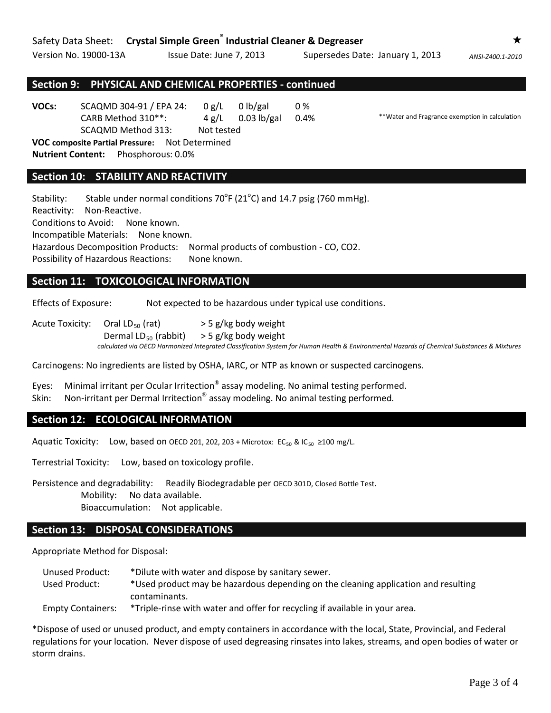Version No. 19000-13A Issue Date: June 7, 2013 Supersedes Date: January 1, 2013 *ANSI-Z400.1-2010*

## **Section 9: PHYSICAL AND CHEMICAL PROPERTIES - continued**

**VOCs:** SCAQMD 304-91 / EPA 24: 0 g/L 0 lb/gal 0 % CARB Method 310\*\*: 4 g/L 0.03 lb/gal 0.4% \*\*Water and Fragrance exemption in calculation SCAQMD Method 313: Not tested

**VOC composite Partial Pressure:** Not Determined **Nutrient Content:** Phosphorous: 0.0%

## **Section 10: STABILITY AND REACTIVITY**

Stability: Stable under normal conditions  $70^{\circ}$ F (21 $^{\circ}$ C) and 14.7 psig (760 mmHg).

Reactivity: Non-Reactive.

Conditions to Avoid: None known.

Incompatible Materials: None known.

Hazardous Decomposition Products: Normal products of combustion - CO, CO2.

Possibility of Hazardous Reactions: None known.

## **Section 11: TOXICOLOGICAL INFORMATION**

Effects of Exposure: Not expected to be hazardous under typical use conditions.

Acute Toxicity: Oral LD<sub>50</sub> (rat)  $>$  5 g/kg body weight Dermal LD<sub>50</sub> (rabbit)  $>$  5 g/kg body weight *calculated via OECD Harmonized Integrated Classification System for Human Health & Environmental Hazards of Chemical Substances & Mixtures*

Carcinogens: No ingredients are listed by OSHA, IARC, or NTP as known or suspected carcinogens.

Eyes: Minimal irritant per Ocular Irritection<sup>®</sup> assay modeling. No animal testing performed. Skin: Non-irritant per Dermal Irritection<sup>®</sup> assay modeling. No animal testing performed.

#### **Section 12: ECOLOGICAL INFORMATION**

Aquatic Toxicity: Low, based on OECD 201, 202, 203 + Microtox: EC<sub>50</sub> & IC<sub>50</sub> ≥100 mg/L.

Terrestrial Toxicity: Low, based on toxicology profile.

Persistence and degradability: Readily Biodegradable per OECD 301D, Closed Bottle Test. Mobility: No data available. Bioaccumulation: Not applicable.

# **Section 13: DISPOSAL CONSIDERATIONS**

Appropriate Method for Disposal:

Unused Product: \*Dilute with water and dispose by sanitary sewer. Used Product: \*Used product may be hazardous depending on the cleaning application and resulting contaminants.

Empty Containers: \*Triple-rinse with water and offer for recycling if available in your area.

\*Dispose of used or unused product, and empty containers in accordance with the local, State, Provincial, and Federal regulations for your location. Never dispose of used degreasing rinsates into lakes, streams, and open bodies of water or storm drains.